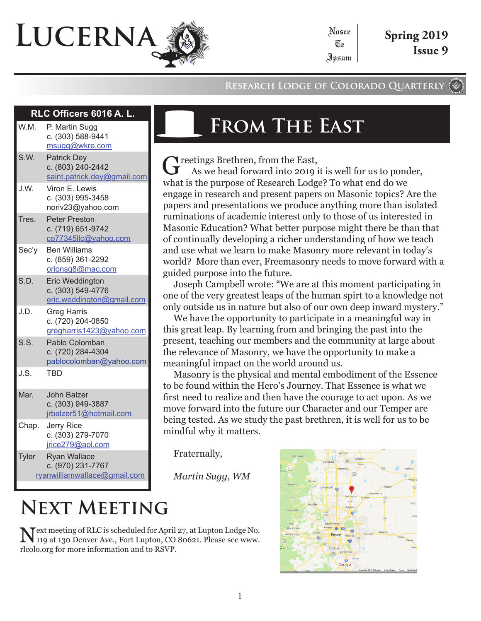# **Lucerna**

#### **Research Lodge of Colorado Quarterly**

Nosce Te Ipsum

#### **RLC Officers 6016 A. L.**

| W.M.         | P. Martin Sugg<br>c. (303) 588-9441<br>msugg@wkre.com                    |
|--------------|--------------------------------------------------------------------------|
| S.W.         | <b>Patrick Dey</b><br>c. (803) 240-2442<br>saint.patrick.dey@gmail.com   |
| J.W.         | Viron E. Lewis<br>c. (303) 995-3458<br>noriv23@yahoo.com                 |
| Tres.        | <b>Peter Preston</b><br>c. (719) 651-9742<br>co77345llc@yahoo.com        |
| Sec'y        | <b>Ben Williams</b><br>c. (859) 361-2292<br>orionsg8@mac.com             |
| S.D.         | <b>Eric Weddington</b><br>c. (303) 549-4776<br>eric.weddington@gmail.com |
| J.D.         | <b>Greg Harris</b><br>c. (720) 204-0850<br>gregharris1423@yahoo.com      |
| S.S.         | Pablo Colomban<br>c. (720) 284-4304<br>pablocolomban@yahoo.com           |
| J.S.         | <b>TBD</b>                                                               |
| Mar.         | <b>John Balzer</b><br>c. (303) 949-3887<br>jrbalzer51@hotmail.com        |
| Chap.        | Jerry Rice<br>c. (303) 279-7070<br>jrice279@aol.com                      |
| <b>Tyler</b> | <b>Ryan Wallace</b><br>c. (970) 231-7767<br>ryanwilliamwallace@gmail.com |

## **From The East**

Treetings Brethren, from the East,

As we head forward into 2019 it is well for us to ponder, what is the purpose of Research Lodge? To what end do we engage in research and present papers on Masonic topics? Are the papers and presentations we produce anything more than isolated ruminations of academic interest only to those of us interested in Masonic Education? What better purpose might there be than that of continually developing a richer understanding of how we teach and use what we learn to make Masonry more relevant in today's world? More than ever, Freemasonry needs to move forward with a guided purpose into the future.

Joseph Campbell wrote: "We are at this moment participating in one of the very greatest leaps of the human spirt to a knowledge not only outside us in nature but also of our own deep inward mystery."

We have the opportunity to participate in a meaningful way in this great leap. By learning from and bringing the past into the present, teaching our members and the community at large about the relevance of Masonry, we have the opportunity to make a meaningful impact on the world around us.

Masonry is the physical and mental embodiment of the Essence to be found within the Hero's Journey. That Essence is what we first need to realize and then have the courage to act upon. As we move forward into the future our Character and our Temper are being tested. As we study the past brethren, it is well for us to be mindful why it matters.

Fraternally,

*Martin Sugg, WM*

## **Next Meeting**

Next meeting of RLC is scheduled for April 27, at Lupton Lodge No. 119 at 130 Denver Ave., Fort Lupton, CO 80621. Please see www. rlcolo.org for more information and to RSVP.

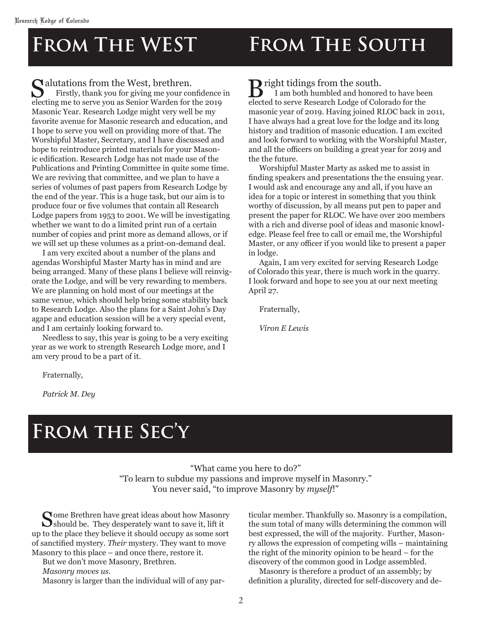## **From The WEST From The South**

#### $\Omega$  alutations from the West, brethren.

Firstly, thank you for giving me your confidence in electing me to serve you as Senior Warden for the 2019 Masonic Year. Research Lodge might very well be my favorite avenue for Masonic research and education, and I hope to serve you well on providing more of that. The Worshipful Master, Secretary, and I have discussed and hope to reintroduce printed materials for your Masonic edification. Research Lodge has not made use of the Publications and Printing Committee in quite some time. We are reviving that committee, and we plan to have a series of volumes of past papers from Research Lodge by the end of the year. This is a huge task, but our aim is to produce four or five volumes that contain all Research Lodge papers from 1953 to 2001. We will be investigating whether we want to do a limited print run of a certain number of copies and print more as demand allows, or if we will set up these volumes as a print-on-demand deal.

I am very excited about a number of the plans and agendas Worshipful Master Marty has in mind and are being arranged. Many of these plans I believe will reinvigorate the Lodge, and will be very rewarding to members. We are planning on hold most of our meetings at the same venue, which should help bring some stability back to Research Lodge. Also the plans for a Saint John's Day agape and education session will be a very special event, and I am certainly looking forward to.

Needless to say, this year is going to be a very exciting year as we work to strength Research Lodge more, and I am very proud to be a part of it.

**B** right tidings from the south.

I am both humbled and honored to have been elected to serve Research Lodge of Colorado for the masonic year of 2019. Having joined RLOC back in 2011, I have always had a great love for the lodge and its long history and tradition of masonic education. I am excited and look forward to working with the Worshipful Master, and all the officers on building a great year for 2019 and the the future.

Worshipful Master Marty as asked me to assist in finding speakers and presentations the the ensuing year. I would ask and encourage any and all, if you have an idea for a topic or interest in something that you think worthy of discussion, by all means put pen to paper and present the paper for RLOC. We have over 200 members with a rich and diverse pool of ideas and masonic knowledge. Please feel free to call or email me, the Worshipful Master, or any officer if you would like to present a paper in lodge.

Again, I am very excited for serving Research Lodge of Colorado this year, there is much work in the quarry. I look forward and hope to see you at our next meeting April 27.

Fraternally,

*Viron E Lewis*

Fraternally,

*Patrick M. Dey*

## **From the Sec'y**

"What came you here to do?" "To learn to subdue my passions and improve myself in Masonry." You never said, "to improve Masonry by *myself*!"

Some Brethren have great ideas about how Masonry  $\sum$ should be. They desperately want to save it, lift it up to the place they believe it should occupy as some sort of sanctified mystery. *Their* mystery. They want to move Masonry to this place – and once there, restore it.

But we don't move Masonry, Brethren.

*Masonry moves us.* 

Masonry is larger than the individual will of any par-

ticular member. Thankfully so. Masonry is a compilation, the sum total of many wills determining the common will best expressed, the will of the majority. Further, Masonry allows the expression of competing wills – maintaining the right of the minority opinion to be heard – for the discovery of the common good in Lodge assembled.

Masonry is therefore a product of an assembly; by definition a plurality, directed for self-discovery and de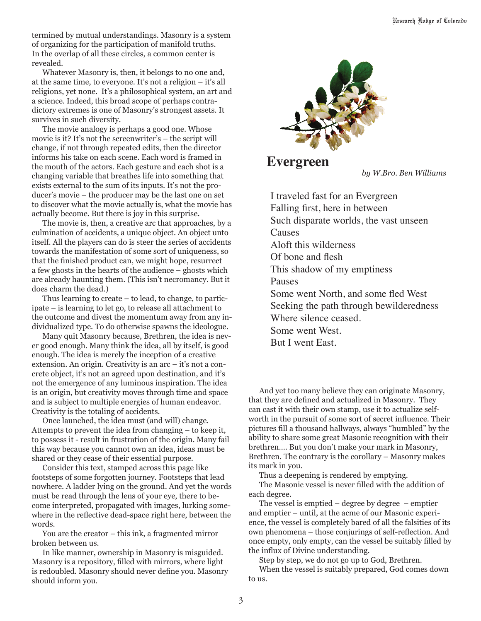termined by mutual understandings. Masonry is a system of organizing for the participation of manifold truths. In the overlap of all these circles, a common center is revealed.

Whatever Masonry is, then, it belongs to no one and, at the same time, to everyone. It's not a religion – it's all religions, yet none. It's a philosophical system, an art and a science. Indeed, this broad scope of perhaps contradictory extremes is one of Masonry's strongest assets. It survives in such diversity.

The movie analogy is perhaps a good one. Whose movie is it? It's not the screenwriter's – the script will change, if not through repeated edits, then the director informs his take on each scene. Each word is framed in the mouth of the actors. Each gesture and each shot is a changing variable that breathes life into something that exists external to the sum of its inputs. It's not the producer's movie – the producer may be the last one on set to discover what the movie actually is, what the movie has actually become. But there is joy in this surprise.

The movie is, then, a creative arc that approaches, by a culmination of accidents, a unique object. An object unto itself. All the players can do is steer the series of accidents towards the manifestation of some sort of uniqueness, so that the finished product can, we might hope, resurrect a few ghosts in the hearts of the audience – ghosts which are already haunting them. (This isn't necromancy. But it does charm the dead.)

Thus learning to create – to lead, to change, to participate – is learning to let go, to release all attachment to the outcome and divest the momentum away from any individualized type. To do otherwise spawns the ideologue.

Many quit Masonry because, Brethren, the idea is never good enough. Many think the idea, all by itself, is good enough. The idea is merely the inception of a creative extension. An origin. Creativity is an arc – it's not a concrete object, it's not an agreed upon destination, and it's not the emergence of any luminous inspiration. The idea is an origin, but creativity moves through time and space and is subject to multiple energies of human endeavor. Creativity is the totaling of accidents.

Once launched, the idea must (and will) change. Attempts to prevent the idea from changing – to keep it, to possess it - result in frustration of the origin. Many fail this way because you cannot own an idea, ideas must be shared or they cease of their essential purpose.

Consider this text, stamped across this page like footsteps of some forgotten journey. Footsteps that lead nowhere. A ladder lying on the ground. And yet the words must be read through the lens of your eye, there to become interpreted, propagated with images, lurking somewhere in the reflective dead-space right here, between the words.

You are the creator – this ink, a fragmented mirror broken between us.

In like manner, ownership in Masonry is misguided. Masonry is a repository, filled with mirrors, where light is redoubled. Masonry should never define you. Masonry should inform you.



### **Evergreen**

*by W.Bro. Ben Williams*

I traveled fast for an Evergreen Falling first, here in between Such disparate worlds, the vast unseen **Causes** Aloft this wilderness Of bone and flesh This shadow of my emptiness Pauses Some went North, and some fled West Seeking the path through bewilderedness Where silence ceased. Some went West. But I went East.

And yet too many believe they can originate Masonry, that they are defined and actualized in Masonry. They can cast it with their own stamp, use it to actualize selfworth in the pursuit of some sort of secret influence. Their pictures fill a thousand hallways, always "humbled" by the ability to share some great Masonic recognition with their brethren…. But you don't make your mark in Masonry, Brethren. The contrary is the corollary – Masonry makes its mark in you.

Thus a deepening is rendered by emptying.

The Masonic vessel is never filled with the addition of each degree.

The vessel is emptied  $-$  degree by degree  $-$  emptier and emptier – until, at the acme of our Masonic experience, the vessel is completely bared of all the falsities of its own phenomena – those conjurings of self-reflection. And once empty, only empty, can the vessel be suitably filled by the influx of Divine understanding.

Step by step, we do not go up to God, Brethren. When the vessel is suitably prepared, God comes down to us.